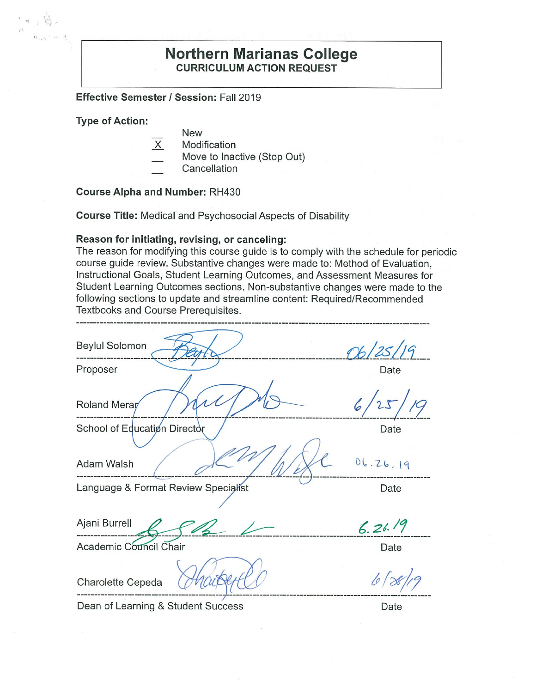### **Northern Marianas College CURRICULUM ACTION REQUEST**

**Effective Semester/ Session:** Fall 2019

**Type of Action:** 

- New
	- **Modification**
- Move to Inactive (Stop Out)
- **Cancellation**

**Course Alpha and Number:** RH430

**Course Title:** Medical and Psychosocial Aspects of Disability

#### **Reason for initiating, revising, or canceling:**

The reason for modifying this course guide is to comply with the schedule for periodic course guide review. Substantive changes were made to: Method of Evaluation, Instructional Goals, Student Learning Outcomes, and Assessment Measures for Student Learning Outcomes sections. Non-substantive changes were made to the following sections to update and streamline content: Required/Recommended Textbooks and Course Prerequisites.

| <b>Beylul Solomon</b>               | 96/25/19 |
|-------------------------------------|----------|
| Proposer                            | Date     |
| Roland Merar                        | 19       |
| School of Education Director        | Date     |
| Adam Walsh                          | 06.26.19 |
| Language & Format Review Specialist | Date     |
| Ajani Burrell                       | 6.26.19  |
| Academic Council Chair              | Date     |
| Charolette Cepeda                   |          |

Dean of Learning & Student Success Dean Date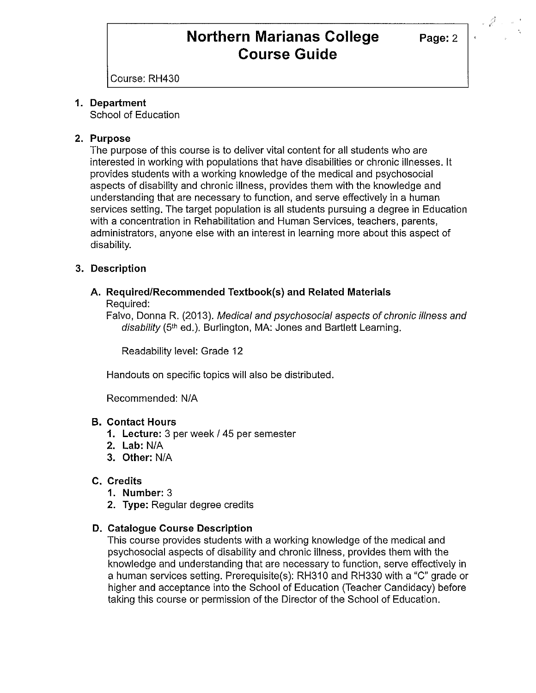**Page:2** 

Course: RH430

#### **1. Department**

School of Education

#### **2. Purpose**

The purpose of this course is to deliver vital content for all students who are interested in working with populations that have disabilities or chronic illnesses. It provides students with a working knowledge of the medical and psychosocial aspects of disability and chronic illness, provides them with the knowledge and understanding that are necessary to function, and serve effectively in a human services setting. The target population is all students pursuing a degree in Education with a concentration in Rehabilitation and Human Services, teachers, parents, administrators, anyone else with an interest in learning more about this aspect of disability.

#### **3. Description**

#### **A. Required/Recommended Textbook(s) and Related Materials**  Required:

Falvo, Donna R. (2013). Medical and psychosocial aspects of chronic illness and disability (5<sup>th</sup> ed.). Burlington, MA: Jones and Bartlett Learning.

Readability level: Grade 12

Handouts on specific topics will also be distributed.

Recommended: N/A

#### **B. Contact Hours**

- **1. Lecture:** 3 per week / 45 per semester
- **2. Lab:** N/A
- **3. Other:** N/A

### **C. Credits**

- **1. Number:** 3
- **2. Type:** Regular degree credits

### **D. Catalogue Course Description**

This course provides students with a working knowledge of the medical and psychosocial aspects of disability and chronic illness, provides them with the knowledge and understanding that are necessary to function, serve effectively in a human services setting. Prerequisite(s): RH310 and RH330 with a "C" grade or higher and acceptance into the School of Education (Teacher Candidacy) before taking this course or permission of the Director of the School of Education.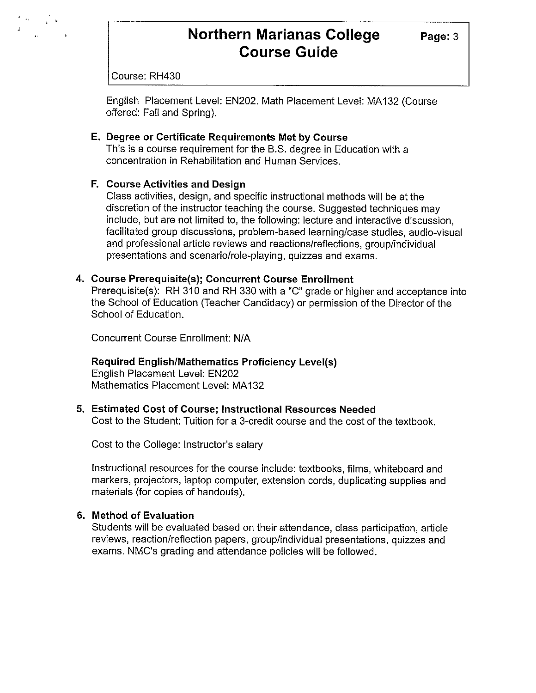**Page:3** 

Course: RH430

English Placement Level: EN202. Math Placement Level: MA132 (Course offered: Fall and Spring).

#### **E. Degree or Certificate Requirements Met by Course**

This is a course requirement for the B.S. degree in Education with a concentration in Rehabilitation and Human Services.

#### **F. Course Activities and Design**

Class activities, design, and specific instructional methods will be at the discretion of the instructor teaching the course. Suggested techniques may include, but are not limited to, the following: lecture and interactive discussion, facilitated group discussions, problem-based learning/case studies, audio-visual and professional article reviews and reactions/reflections, group/individual presentations and scenario/role-playing, quizzes and exams.

#### **4. Course Prerequisite(s); Concurrent Course Enrollment**

Prerequisite(s): RH 310 and RH 330 with a "C" grade or higher and acceptance into the School of Education (Teacher Candidacy) or permission of the Director of the School of Education.

Concurrent Course Enrollment: N/A

#### **Required English/Mathematics Proficiency Level(s)**

English Placement Level: EN202 Mathematics Placement Level: MA132

#### **5. Estimated Cost of Course; Instructional Resources Needed**

Cost to the Student: Tuition for a 3-credit course and the cost of the textbook.

Cost to the College: Instructor's salary

Instructional resources for the course include: textbooks, films, whiteboard and markers, projectors, laptop computer, extension cords, duplicating supplies and materials (for copies of handouts).

#### **6. Method of Evaluation**

Students will be evaluated based on their attendance, class participation, article reviews, reaction/reflection papers, group/individual presentations, quizzes and exams. NMC's grading and attendance policies will be followed.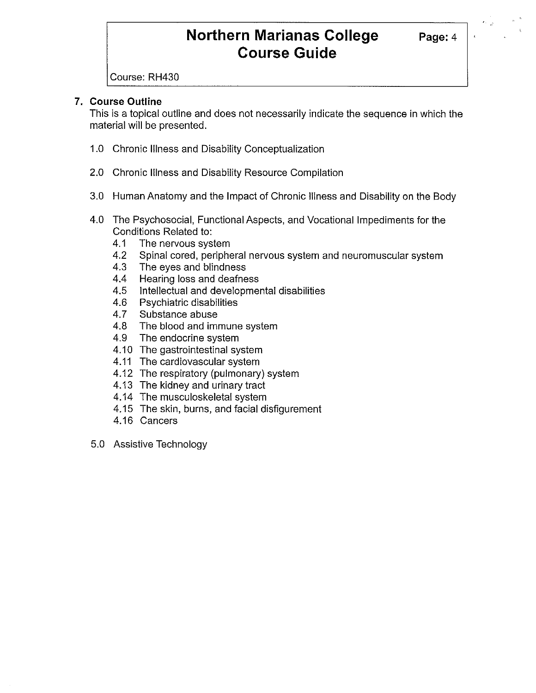Course: RH430

### **7. Course Outline**

This is a topical outline and does not necessarily indicate the sequence in which the material will be presented.

- 1.0 Chronic Illness and Disability Conceptualization
- 2.0 Chronic Illness and Disability Resource Compilation
- 3.0 Human Anatomy and the Impact of Chronic Illness and Disability on the Body
- 4.0 The Psychosocial, Functional Aspects, and Vocational Impediments for the Conditions Related to:
	- 4.1 The nervous system
	- 4.2 Spinal cored, peripheral nervous system and neuromuscular system
	- 4.3 The eyes and blindness
	- 4.4 Hearing loss and deafness
	- 4.5 Intellectual and developmental disabilities
	- 4.6 Psychiatric disabilities
	- 4.7 Substance abuse
	- 4.8 The blood and immune system
	- 4.9 The endocrine system
	- 4.10 The gastrointestinal system
	- 4.11 The cardiovascular system
	- 4.12 The respiratory (pulmonary) system
	- 4.13 The kidney and urinary tract
	- 4.14 The musculoskeletal system
	- 4.15 The skin, burns, and facial disfigurement
	- 4.16 Cancers
- 5.0 Assistive Technology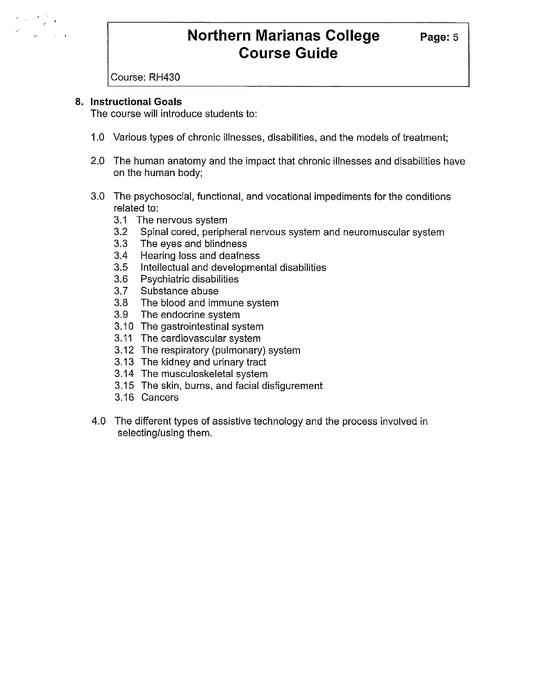

Course: RH430

#### **8. Instructional Goals**

The course will introduce students to:

- 1.0 Various types of chronic illnesses, disabilities, and the models of treatment;
- 2.0 The human anatomy and the impact that chronic illnesses and disabilities have on the human body;
- 3.0 The psychosocial, functional, and vocational impediments for the conditions related to:
	- 3.1 The nervous system
	- 3.2 Spinal cored, peripheral nervous system and neuromuscular system
	- 3.3 The eyes and blindness
	- 3.4 Hearing loss and deafness
	- 3.5 Intellectual and developmental disabilities
	- 3.6 Psychiatric disabilities
	- 3.7 Substance abuse
	- 3.8 The blood and immune system
	- 3.9 The endocrine system
	- 3.10 The gastrointestinal system
	- 3.11 The cardiovascular system
	- 3.12 The respiratory (pulmonary) system
	- 3.13 The kidney and urinary tract
	- 3.14 The musculoskeletal system
	- 3.15 The skin, burns, and facial disfigurement
	- 3.16 Cancers
- 4.0 The different types of assistive technology and the process involved in selecting/using them.